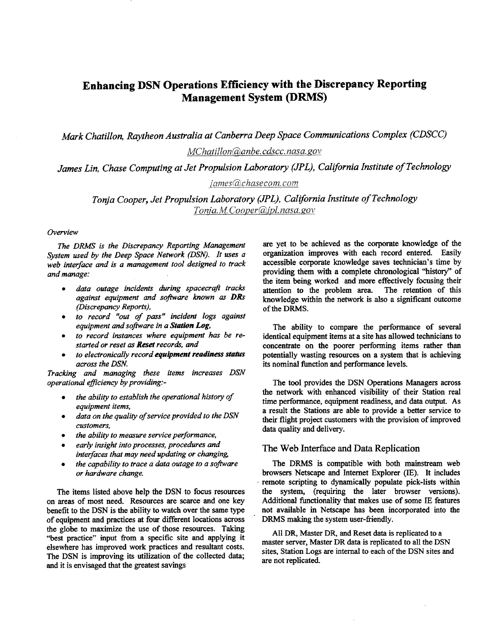# **Enhancing DSN Operations Efficiency with the Discrepancy Reporting Management System (DRMS)**

*Mark Chatillon, Raytheon Australia at Canberra Deep Space Communications Complex (CDSCC)*  $MC$ hatillon@anbe.cdscc.nasa.gov

*James Lin, Chase Computing at Jet Propulsion Laboratory (JPL), Calfornia Institute of Technoloay* 

james@chasecom.com

*Tonja Cooper, Jet Propulsion Laboratory (JPL), California Institute of Technology*   $Tonia.M. Cooper@jpl.nasa.gov$ 

#### *Overview*

*The* **DM** *is the Discrepancy Reporting Management System used* **by** *the Deep Space Network (DSN). It uses a*  web interface and is a management tool designed to track *and manage:* 

- data outage incidents during spacecraft tracks  $\bullet$ *against equipment and sofhvare known* **as** *DRs (Discrepancy Reports),*
- *to record "out of pass" incident logs against equipment and sofnare in a Station Log,*
- *to record instances where equipment has be re started or reset as Reset records, and*
- *to electronically record equipment readiness* **status**  *across the DSN.*

*Tracking and managing these items increases DSN operational effienncy by providing:-* 

- the ability to establish the operational history of *equipment items,*
- *data on the quality of service provided to the DSN customers,*
- the ability to measure service performance,
- *early insight into processes, procedures and intefaces that* **may** *need updating or changing,*
- *the capability to trace a data outage to a soJtware*   $\bullet$ *or hardware change.*

The items listed above help the DSN to focus resources on areas of most need. Resources are scarce and one key benefit to the DSN is the ability to watch over the same type of equipment and practices at four different locations across ' the globe to maximize the use of those resources. Taking "best practice" input from a specific site and applying it elsewhere has improved work practices and resultant costs. The DSN is improving its utilization of the collected data; and it is envisaged that the greatest savings

are yet to be achieved as the corporate knowledge of the organization improves with each record entered. Easily accessible corporate knowledge saves technician's time by providing them with a complete chronological "history" of the item being worked and more effectively focusing their<br>attention to the problem area. The retention of this attention to the problem area. knowledge within the network is also a significant outcome of the DRMS.

The ability to compare the performance of several identical equipment items at a site has allowed technicians to concentrate on the poorer performing items rather than potentially wasting resources on a system that is achieving its nominal function and performance levels.

The tool provides the DSN Operations Managers across the network with enhanced visibility of their Station real time performance, equipment readiness, and data output. As a result the Stations are able to provide a better service to their flight project customers with the provision of improved data quality and delivery.

### **The Web Interface and Data Replication**

The DRMS is compatible with both mainstream web browsers Netscape and Internet Explorer **(IE).** It includes remote scripting to dynamically populate pick-lists within the system, (requiring the later browser versions). Additional functionality that makes use of some IE features not available in Netscape has been incorporated into the DRMS making the system user-friendly.

All DR, Master DR, and Reset data is replicated to a master server, Master DR data is replicated to all the DSN sites, Station Logs are internal to each of the DSN sites and are not replicated.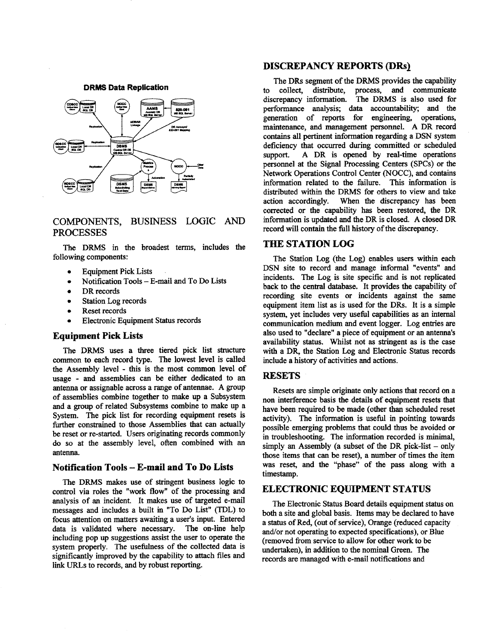**DRMS Data Replication** 



# COMPONENTS, BUSINESS LOGIC AND PROCESSES

The DRMS in the broadest terms, includes the following components:

- Equipment Pick Lists
- Notification Tools E-mail and To Do Lists
- DR records
- Station Log records
- Reset records
- Electronic Equipment Status records

#### **Equipment Pick Lists**

The DRMS uses a three tiered pick list structure common to each record type. The lowest level is called the Assembly level - this is the most common level of usage - and assemblies can be either dedicated to an antenna or assignable across a range of antennae. A group of assemblies combine together to make up a Subsystem and a **group** of related Subsystems combine to make up a System. The pick list for recording equipment resets is further constrained to those Assemblies that can actually be reset or re-started. Users originating records commonly do so at the assembly level, often combined with an antenna.

## **Notification Tools** - **E-mail and To Do Lists**

The DRMS makes use of stringent business logic to control via roles the "work flow" of the processing and analysis of an incident. It makes use of targeted e-mail messages and includes a built in "To Do List" (TDL) to focus attention on matters awaiting a user's input. Entered data is validated where necessary. including pop up suggestions assist the user to operate the system properly. The usefulness of the collected data is significantly improved by the capability to attach files and link URLs to records, and by robust reporting.

### **DISCREPANCY REPORTS (DRs)**

The DRs segment of the DRMS provides the capability<br>collect, distribute, process, and communicate to collect, distribute, process, and communicate discrepancy information. The DRMS is also used for The DRMS is also used for performance analysis; data accountability; and the generation of reports for engineering, operations, maintenance, and management personnel. A DR record contains all pertinent information regarding a DSN system deficiency that occurred during committed or scheduled support. A DR is opened by real-time operations personnel at the Signal Processing Centers (SPCs) or the Network Operations Control Center (NOCC), and contains information related to the failure. This information is distributed within the DRMS for others to view and take<br>action accordingly. When the discrepancy has been When the discrepancy has been corrected or the capability has been restored, the DR information is updated and the DR is closed. A closed DR record will contain the full history of the discrepancy.

#### **THE STATION LOG**

The Station Log (the Log) enables users within each DSN site to record and manage informal "events" and incidents. The Log is site specific and is not replicated back to the central database. It provides the capability of recording site events or incidents against the same equipment item list as is used for the DRs. It is a simple system, yet includes very useful capabilities as an internal communication medium and event logger. Log entries are also used to "declare" a piece of equipment or an antenna's availability status. Whilst not as stringent as is the case with a DR, the Station Log and Electronic Status records include a history of activities and actions.

#### **RESETS**

Resets are simple originate only actions that record on a non interference basis the details of equipment resets that have been required to be made (other than scheduled reset activity). The information is useful in pointing towards possible emerging problems that could thus be avoided or in troubleshooting. The information recorded is minimal, simply an Assembly (a subset of the DR pick-list  $-$  only those items that can be reset), a number of times the item **was** reset, and the "phase" of the pass along with a timestamp.

#### **ELECTRONIC EQUIPMENT STATUS**

The Electronic Status Board details equipment status on both a site and global basis. Items may be declared to have a status of Red, (out of service), Orange (reduced capacity and/or not operating to expected specifications), or Blue (removed fiom service to allow for other work to be undertaken), in addition to the nominal Green. The records are managed with e-mail notifications and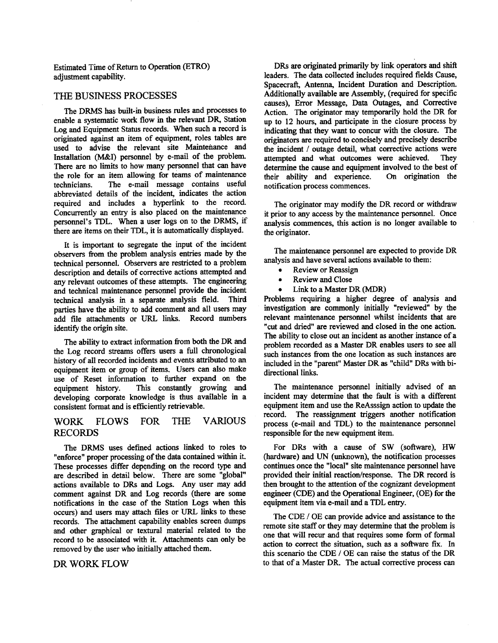Estimated Time of Return to Operation (ETRO) adjustment capability.

# THE BUSINESS PROCESSES

The DRMS has built-in business rules and processes to enable a systematic work flow in the relevant DR, Station Log and Equipment Status records. When such a record is originated against an item of equipment, roles tables are used to advise the relevant site Maintenance and Installation (M&I) personnel by e-mail of the problem. There are no limits to how many personnel that can have the role for an item allowing for teams of maintenance technicians. The e-mail message contains useful abbreviated details of the incident, indicates the action required and includes a hyperlink to the record. Concurrently an entry is also placed on the maintenance personnel's TDL. When a user logs on to the DRMS, if there are items on their TDL, it is automatically displayed.

It is important to segregate the input of the incident observers from the problem analysis entries made by the technical personnel. Observers are restricted to a problem description and details of corrective actions attempted and any relevant outcomes of these attempts. The engineering and technical maintenance personnel provide the incident technical analysis in a separate analysis field. Third parties have the ability to add comment and all users may add file attachments or URL links. Record numbers identify the origin site.

The ability to extract information from both the DR and the Log record streams offers users a full chronological history of **all** recorded incidents and events attributed to an equipment item or group of items. Users can also make use of Reset information to further expand on the equipment history. This constantly growing and This constantly growing and developing corporate knowledge is thus available in a consistent format and is efficiently retrievable.

# WORK FLOWS FOR THE VARIOUS RECORDS

The DRMS uses defined actions linked to roles to "enforce" proper processing of the data contained within it. These processes differ depending on the record **type** and are described in detail below. There are some "global" actions available to DRs and Logs. Any user may add comment against DR and Log records (there are some notifications in the case of the Station Logs when this occurs) and users may attach 61es or **URL** links to these records. The attachment capability enables screen dumps and other graphical or textural material related to the record to be associated with it. Attachments can only be removed by the user who initially attached them.

#### DR WORK FLOW

DRs are originated primarily by link operators and shift leaders. The data collected includes required fields Cause, Spacecraft, Antenna, Incident Duration and Description. Additionally available are Assembly, (required for specific causes), Error Message, Data Outages, and Corrective Action. The originator may temporarily hold the DR for up to 12 hours, and participate in the closure process by indicating that they want to concur with the closure. The originators are required to concisely and precisely describe the incident / outage detail, what corrective actions were attempted and what outcomes were achieved. They attempted and what outcomes were achieved. determine the cause and equipment involved to the best of their ability and experience. On origination the their ability and experience. notification process commences.

The originator may modify the DR record or withdraw it prior to any access by the maintenance personnel. Once analysis commences, this action is no longer available to the originator.

The maintenance personnel are expected to provide DR analysis and have several actions available to them:

- Review or Reassign
- Review and Close  $\bullet$
- Link to a Master DR (MDR)

Problems requiring a higher degree of analysis and investigation are commonly initially "reviewed" by the relevant maintenance personnel whilst incidents that are "cut and dried" are reviewed and closed in the one action. The ability to close out an incident as another instance of a problem recorded as a Master DR enables users to see all such instances from the one location as such instances are included in the "parent" Master DR as "child" DRs with bidirectional links.

The maintenance personnel initially advised of an incident may determine that the fault is with a different equipment item and use the ReAsssign action to update the record. The reassignment triggers another notification The reassignment triggers another notification process (e-mail and TDL) to the maintenance personnel responsible for the new equipment item.

For DRs with a cause of SW (software), HW (hardware) and UN (unknown), the notification processes continues once the "local" site maintenance personnel have provided their initial reaction/response. The DR record is then brought to the attention of the cognizant development engineer (CDE) and the Operational Engineer, (OE) for the equipment item via e-mail and a TDL entry.

The CDE / OE can provide advice and assistance to the remote site staff or they may determine that the problem is one that will recur and that requires some form of fonnal action to correct the situation, such as a software **fix.** In this scenario the CDE / OE can raise the status of the DR to that of a Master DR. The actual corrective process can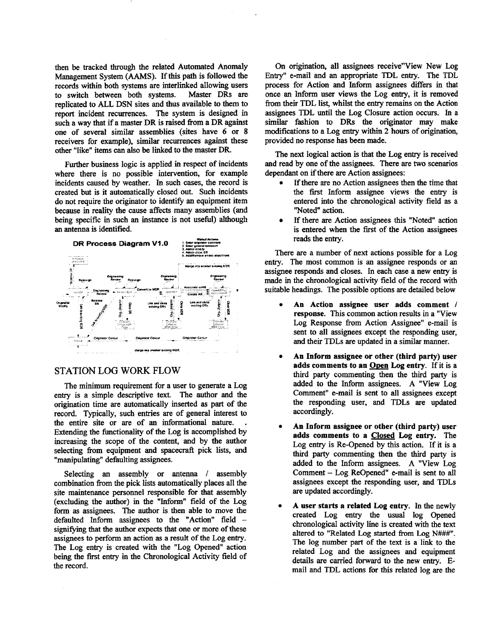then be tracked through the related Automated Anomaly Management System (AAMS). If this path is followed the records within both systems are interlinked allowing users to switch between both systems. Master DRs are replicated to ALL DSN sites and thus available to them to report incident recurrences. The system is designed in such a way that if a master DR is raised from a DR against one of several similar assemblies (sites have 6 or 8 receivers for example), similar recurrences against these other "like" items can also be linked to the master DR.

Further business logic is applied in respect of incidents where there is no possible intervention, for example incidents caused by weather. In such cases, the record is created but is it automatically closed out. Such incidents do not require the originator to identify an equipment item because in reality the cause affects many assemblies (and being specific in such an instance is not useful) although an antenna is identified.



### STATION LOG WORK FLOW

The minimum requirement for a user to generate a Log entry is a simple descriptive text. The author and the origination time are automatically inserted as part of the record. Typically, such entries are of general interest to the entire site or are of an informational nature. . Extending the functionality of the Log is accomplished by increasing the scope of the content, and by the author selecting from equipment and spacecraft pick lists, and "manipulating" defaulting assignees.

Selecting an assembly or antenna / assembly combination from the pick lists automatically places all the site maintenance personnel responsible for that assembly (excluding the author) in the "Inform" field of the Log form as assignees. The author is then able to move the defaulted Inform assignees to the "Action" field - signifying that the author expects that one or more of these assignees to perform an action as a result of the Log entry. The Log entry is created with the "Log Opened" action being the first entry in the Chronological Activity field of the record.

On origination, all assignees receive"View New Log Entry" e-mail and **an** appropriate TDL entry. The TDL process for Action and Inform assignees differs in that once an Inform user views the Log entry, it is removed from their TDL list, whilst the entry remains on the Action assignees TDL until the Log Closure action occurs. In a similar fashion to **DRs** the originator may make modifications to a Log entry within 2 hours of origination, provided no response has been made.

The next logical action is that the Log entry is received and read by one of the assignees. There are two scenarios dependant on if there are Action assignees:

- If there are no Action assignees then the time that the first Inform assignee views the entry is entered into the chronological activity field as a "Noted" action.
- If there are Action assignees **this** "Noted" action  $\bullet$ is entered when the first of the Action assignees reads the entry.

There are a number of next actions possible for a Log entry. The most common is an assignee responds or an assignee responds and closes. In each case a new entry is made in the chronological activity field of the record with suitable headings. The possible options are detailed below

- An Action assignee user adds comment / response. This common action results in a "View Log Response from Action Assignee" e-mail is sent to all assignees except the responding user, and their TDLs are updated in a similar manner.
- $\bullet$ An Inform assignee or other (third party) user adds comments to an **Log** entry. If it is a third party commenting then the third party is added to the Inform assignees. A "View Log Comment" e-mail is sent to all assignees except the responding user, and TDLs are updated accordingly.
- An Inform assignee or other (third party) user adds comments to a Closed Log entry. The Log entry is Re-Opened by this action. If it is a third party commenting then the third party is added to the Inform assignees. A "View Log Comment - Log ReOpened" e-mail is sent to all assignees except the responding user, **and** TDLs are updated accordingly.
- A user starts a related Log entry. In the newly created Log entry the usual log Opened chronological activity line is created with the text altered to "Related Log started from Log N###". The log number part of the text is a link to the related Log and the assignees and equipment details are carried forward to the new entry. Email and TDL actions for this related log are the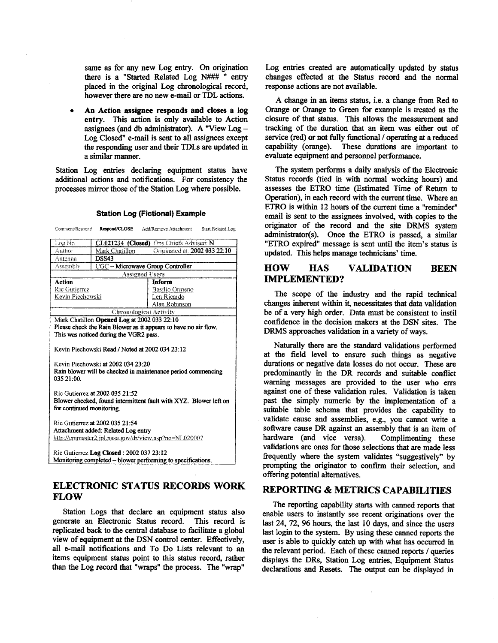same as for any new Log entry. **On** origination there is a "Started Related Log **N###** " **entry**  placed in the original Log chronological record, however there are no new e-mail or TDL actions.

**An Action assignee responds and closes a log entry.** This action is only available to Action assignees (and db administrator). A "View  $Log -$ Log Closed" e-mail is sent to all assignees except the responding user and their TDLs are updated in a similar manner.

Station Log entries declaring equipment status have additional actions and notifications. For consistency the processes mirror those of the Station Log where possible.

#### **Station Log (Fictional) Example**

Comment/Respond Respond/CLOSE Add/Remove Attachment Start Related Log

| Log No                                                                                                                            | CL021234 (Closed) Ops Chiefs Advised: N                     |                               |  |  |  |
|-----------------------------------------------------------------------------------------------------------------------------------|-------------------------------------------------------------|-------------------------------|--|--|--|
| Author                                                                                                                            | Mark Chatillon                                              | Originated at: 2002 033 22:10 |  |  |  |
| Antenna                                                                                                                           | <b>DSS43</b>                                                |                               |  |  |  |
| Assembly                                                                                                                          | UGC - Microwave Group Controller                            |                               |  |  |  |
| Assigned Users                                                                                                                    |                                                             |                               |  |  |  |
| Action<br>Inform                                                                                                                  |                                                             |                               |  |  |  |
| Ric Gutierrez                                                                                                                     |                                                             | Basilio Ormeno                |  |  |  |
| Kevin Piechowski                                                                                                                  |                                                             | Len Ricardo                   |  |  |  |
|                                                                                                                                   |                                                             | Alan Robinson                 |  |  |  |
| <b>Chronological Activity</b>                                                                                                     |                                                             |                               |  |  |  |
| Mark Chatillon Opened Log at 2002 033 22:10                                                                                       |                                                             |                               |  |  |  |
| Please check the Rain Blower as it appears to have no air flow.                                                                   |                                                             |                               |  |  |  |
| This was noticed during the VGR2 pass.                                                                                            |                                                             |                               |  |  |  |
|                                                                                                                                   |                                                             |                               |  |  |  |
| Kevin Piechowski Read / Noted at 2002 034 23:12                                                                                   |                                                             |                               |  |  |  |
| Kevin Piechowski at 2002 034 23:20<br>Rain blower will be checked in maintenance period commencing<br>03521:00.                   |                                                             |                               |  |  |  |
| Ric Gutierrez at 2002 035 21:52<br>Blower checked, found intermittent fault with XYZ. Blower left on<br>for continued monitoring. |                                                             |                               |  |  |  |
| Ric Gutierrez at 2002 035 21:54<br>Attachment added: Related Log entry                                                            |                                                             |                               |  |  |  |
| http://cmmaster2.jpl.nasa.gov/dr/view.asp?no=NL020007                                                                             |                                                             |                               |  |  |  |
|                                                                                                                                   |                                                             |                               |  |  |  |
|                                                                                                                                   | Ric Gutierrez Log Closed: 2002 037 23:12                    |                               |  |  |  |
|                                                                                                                                   | Monitoring completed – blower performing to specifications. |                               |  |  |  |

# **ELECTRONIC STATUS RECORDS WORK FLOW**

Station Logs that declare **an** equipment status also generate an Electronic Status record. This record is replicated back to the central database to facilitate a global view of equipment at the DSN control center. Effectively, all e-mail notifications and To Do Lists relevant to an items equipment status point to this status record, rather than the Log record that "wraps" the process. The "wrap"

Log entries created are automatically updated by status changes effected at the Status record and the normal response actions are not available.

A change in an items status, i.e. a change fiom Red to Orange or Orange to Green for example is treated as the closure of that status. This allows the measurement and tracking of the duration that an item was either out of service (red) or not fully functional / operating at a reduced capability (orange). These durations are important to These durations are important to evaluate equipment and personnel performance.

The system performs a daily analysis of the Electronic Status records (tied in with normal working hours) and assesses the ETRO time (Estimated Time of Return to Operation), in each record with the current time. Where an ETRO is within 12 hours of the current time a "reminder" email is sent to the assignees involved, with copies to the originator of the record and the site DRMS system administrator(s). Once the ETRO is passed, a similar **"ETRO** expired" message is sent until the item's status is updated. This helps manage technicians' time.

# **HOW HAS VALIDATION BEEN IMPLEMENTED?**

The scope of the industry and the rapid technical changes inherent within it, necessitates that data validation be of a very high order. Data must be consistent to instil confidence in the decision makers at the DSN sites. The DRMS approaches validation in a variety of ways.

Naturally there are the standard validations performed at the field level to ensure such things as negative durations or negative data losses do not occur. These are predominantly in the DR records and suitable conflict warning messages are provided to the user who errs against one of these validation rules. Validation is taken past the simply numeric by the implementation of a suitable table schema that provides the capability to validate cause and assemblies, e.g., you cannot write a software cause DR against an assembly that is an item of hardware (and vice versa). Complimenting these validations are ones for those selections that are made less frequently where the system validates "suggestively" by prompting the originator to confirm their selection, and offering potential alternatives.

# **REPORTING & METRICS CAPABILITIES**

The reporting capability starts with canned reports that enable users to instantly see recent originations over the last 24, 72, 96 hours, the last 10 days, and since the users last login to the system. By using these canned reports the user is able to quickly catch up with what has occurred in the relevant period. Each of these canned reports / queries displays the DRs, Station Log entries, Equipment Status declarations and Resets. The output can be displayed in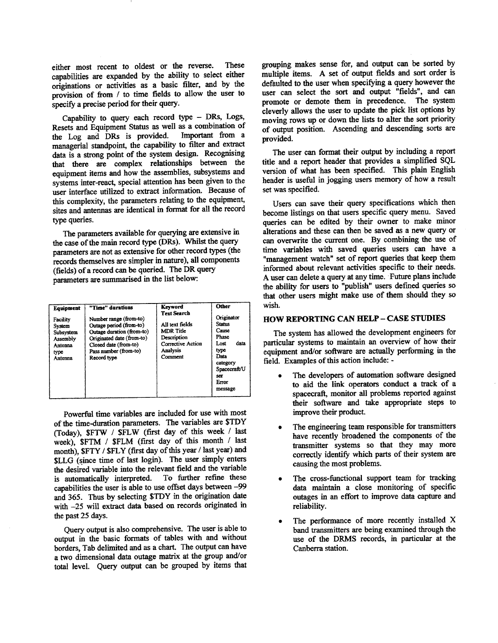either most recent to oldest or the reverse. These capabilities are expanded by the ability to select either originations or activities as a basic filter, and by the provision of from *I* to time fields to allow the user to specify a precise period for their query.

Capability to query each record type - **DRs,** Logs, Resets and Equipment Status **as** well as a combination of the Log and **DRs** is provided. Important from a managerial standpoint, the capability to filter and extract data is a strong point of the system design. Recognising that there are complex relationships between the equipment items and how the assemblies, subsystems and systems inter-react, special attention has been given to the user interface utilized to extract information. Because of this complexity, the parameters relating to the equipment, sites and antennas are identical in format for all the record type queries.

The parameters available for querying are extensive in the case of the main record **type** (DRs). Whilst the query parameters are not as extensive for other record **types** (the records themselves are simpler in nature), all components (fields) of a record can be queried. The DR query parameters are summarised in the list below:

| Equipment<br>Facility<br>System<br>Subsystem<br>Assembly<br>Antenna<br>type<br>Antenna | "Time" durations<br>Number range (from-to)<br>Outage period (from-to)<br>Outage duration (from-to)<br>Originated date (from-to)<br>Closed date (from-to)<br>Pass number (from-to)<br>Record type | Keyword<br><b>Text Search</b><br>All text fields<br><b>MDR</b> Title<br>Description<br>Corrective Action<br>Analysis<br>Comment | Other<br>Originator<br>Status<br>Cause<br>Phase<br>data<br>Lost<br>type<br>Data<br>category<br>Spacecraft/U<br>ser<br>Error<br>message |
|----------------------------------------------------------------------------------------|--------------------------------------------------------------------------------------------------------------------------------------------------------------------------------------------------|---------------------------------------------------------------------------------------------------------------------------------|----------------------------------------------------------------------------------------------------------------------------------------|
|----------------------------------------------------------------------------------------|--------------------------------------------------------------------------------------------------------------------------------------------------------------------------------------------------|---------------------------------------------------------------------------------------------------------------------------------|----------------------------------------------------------------------------------------------------------------------------------------|

Powerful time variables are included for use with most of the time-duration parameters. The variables are **\$TDY**  (Today), **\$FTW** / **\$FLW** (first day of this week / last week), \$FTM / \$FLM (first day of this month / last month), **\$FTY** / **\$FLY** (first day of this year / last year) and \$LLG (since time of last login). The user simply enters  $\frac{1}{2}$  (since the or that regar). The west  $\frac{1}{2}$ is automatically interpreted. To further refine these is automatically interpreted. To further refine these capabilities the user is able to use offset days between  $-99$ and 365. Thus by selecting \$TDY in the origination date with -25 will extract data based on records originated in the past 25 days.

Query output is also comprehensive. The user is able to output in the basic formats of tables with and without borders, Tab delimited and as a chart. The output can have a two dimensional data outage matrix at the group and/or total level. Query output can be grouped by items that

grouping makes sense for, and output can be sorted by multiple items. **A** set of output fields and sort order is defaulted to the user when specifying a query however the user can select the sort and output "fields", and can promote or demote them in precedence. The system cleverly allows the user to update the pick list options by moving rows up or down the lists to alter the sort priority of output position. Ascending and descending sorts are provided.

The user can format their output by including a report title and a report header that provides a simplified SQL version of what has been specified. This plain English header is useful in jogging users memory of how a result set was specified.

**The most recent to chdes or the reverse.** These growping makes sense for, and output can be served by the positive interest of the accordination and the system of the system of the system of the system of the system of t Users can save their query specifications which then become listings on that users specific query menu. Saved queries can be edited by their owner to make minor alterations and these can then be saved as a new query or can overwrite the current one. By combining the use of time variables with saved queries users can have a "management watch" set of report queries that keep them informed about relevant activities specific to their needs. A user can delete a query at any time. **Future** plans include the ability for users to "publish" users defined queries so that other users might make use of them should they so wish.

## **HOW REPORTING CAN HELP** - **CASE STUDIES**

The system has allowed the development engineers for particular systems to maintain an overview of how their equipment and/or software are actually performing in the field. Examples of this action include: -

- The developers of automation software designed to aid the link operators conduct a track of a spacecraft, monitor all problems reported against their software and take appropriate steps to improve their product.
- The engineering **team** responsible for transmitters have recently broadened the components of the transmitter systems so that they may more correctly identify which parts of their system are causing the most problems.
- The cross-functional support team for tracking data maintain a close monitoring of specific outages in an effort to improve data capture and reliability.
- The performance of more recently installed X band transmitters are being examined through the use of the DRMS records, in particular at the Canberra station.